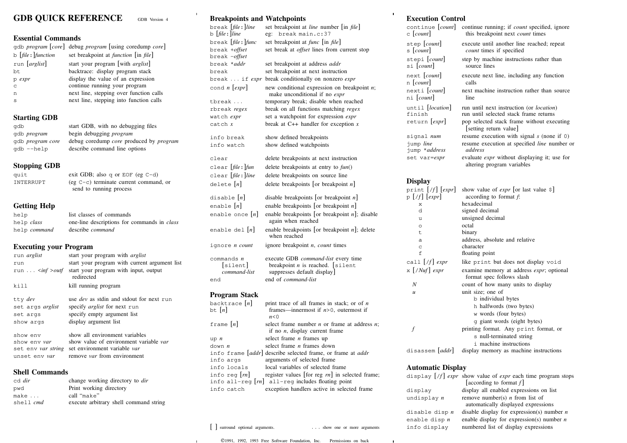# **GDB QUICK REFERENCE** GDB Version <sup>4</sup>

## **Essential Commands**

|                       | gdb <i>program</i> [core] debug <i>program</i> [using coredump core] |
|-----------------------|----------------------------------------------------------------------|
| b $[file:] function$  | set breakpoint at <i>function</i> [in <i>file</i> ]                  |
| run <i>[arglist</i> ] | start your program [with $arglist$ ]                                 |
| bt.                   | backtrace: display program stack                                     |
| p expr                | display the value of an expression                                   |
| C                     | continue running your program                                        |
| n                     | next line, stepping over function calls                              |
| S                     | next line, stepping into function calls                              |
|                       |                                                                      |

### **Starting GDB**

| qdb                | start GDB, with no debugging files                    |
|--------------------|-------------------------------------------------------|
| qdb <i>program</i> | begin debugging <i>program</i>                        |
| qdb program core   | debug coredump <i>core</i> produced by <i>program</i> |
| qdb --help         | describe command line options                         |
|                    |                                                       |

## **Stopping GDB**

| quit<br>INTERRUPT                                | exit GDB; also q or EOF (eg $C-d$ )<br>$(eg C-c)$ terminate current command, or<br>send to running process |
|--------------------------------------------------|------------------------------------------------------------------------------------------------------------|
| <b>Getting Help</b>                              |                                                                                                            |
| help<br>help <i>class</i><br>help <i>command</i> | list classes of commands<br>one-line descriptions for commands in <i>class</i><br>describe <i>command</i>  |

## **Executing your Program**

| run <i>arglist</i>               | start your program with <i>arglist</i>              |
|----------------------------------|-----------------------------------------------------|
| run                              | start your program with current argument list       |
| run $\langle \text{inf} \rangle$ | start your program with input, output<br>redirected |
| kill                             | kill running program                                |
| tty dev                          | use <i>dev</i> as stdin and stdout for next run     |
| set args arglist                 | specify <i>arglist</i> for next run                 |
| set args                         | specify empty argument list                         |
| show args                        | display argument list                               |
| show env                         | show all environment variables                      |
| show env <i>var</i>              | show value of environment variable var              |
| set env var string               | set environment variable var                        |
| unset env var                    | remove <i>var</i> from environment                  |

# **Shell Commands**

| cd dir    | change working directory to <i>dir</i> |
|-----------|----------------------------------------|
| pwd       | Print working directory                |
| make      | call "make"                            |
| shell cmd | execute arbitrary shell command string |

## **Breakpoints and Watchpoints**

| break <i>file</i> : <i>line</i>       | set breakpoint at <i>line</i> number [in <i>file</i> ]                                                                  |
|---------------------------------------|-------------------------------------------------------------------------------------------------------------------------|
| $\mathbf{b}$   file :   line          | break main.c:37<br>eg:                                                                                                  |
| break <i>file</i> : <i>func</i>       | set breakpoint at <i>func</i> [in <i>file</i> ]                                                                         |
| break +offset<br>break <i>-offset</i> | set break at <i>offset</i> lines from current stop                                                                      |
| break * <i>addr</i>                   | set breakpoint at address <i>addr</i>                                                                                   |
| break                                 | set breakpoint at next instruction                                                                                      |
|                                       | break  if expr break conditionally on nonzero expr                                                                      |
| cond $n$ [ <i>expr</i> ]              | new conditional expression on breakpoint $n$ ;<br>make unconditional if no <i>expr</i>                                  |
| tbreak                                | temporary break; disable when reached                                                                                   |
| rbreak <i>regex</i>                   | break on all functions matching regex                                                                                   |
| watch expr                            | set a watchpoint for expression <i>expr</i>                                                                             |
| $\texttt{catch}$ $x$                  | break at $C++$ handler for exception x                                                                                  |
| info break                            | show defined breakpoints                                                                                                |
| info watch                            | show defined watchpoints                                                                                                |
|                                       |                                                                                                                         |
| clear                                 | delete breakpoints at next instruction                                                                                  |
| clear <i>[file</i> : <i>]fun</i>      | delete breakpoints at entry to $fun()$                                                                                  |
| clear [ <i>file</i> : line            | delete breakpoints on source line                                                                                       |
| delete $[n]$                          | delete breakpoints [or breakpoint $n$ ]                                                                                 |
| disable $[n]$                         | disable breakpoints [or breakpoint $n$ ]                                                                                |
| enable $ n $                          | enable breakpoints [or breakpoint $n$ ]                                                                                 |
| enable once $ n $                     | enable breakpoints [or breakpoint $n$ ]; disable                                                                        |
|                                       | again when reached                                                                                                      |
| enable del $ n $                      | enable breakpoints [or breakpoint $n$ ]; delete<br>when reached                                                         |
| ignore <i>n count</i>                 | ignore breakpoint <i>n</i> , count times                                                                                |
| commands n                            | execute GDB <i>command-list</i> every time                                                                              |
| silent                                | breakpoint $n$ is reached. [silent                                                                                      |
| command-list                          | suppresses default display                                                                                              |
| end                                   | end of <i>command-list</i>                                                                                              |
| <b>Program Stack</b>                  |                                                                                                                         |
| backtrace $ n $                       | print trace of all frames in stack; or of $n$                                                                           |
| bt $[n]$                              | frames—innermost if $n>0$ , outermost if                                                                                |
|                                       | n<0                                                                                                                     |
| frame $[n]$                           | select frame number $n$ or frame at address $n$ ;                                                                       |
|                                       | if no $n$ , display current frame                                                                                       |
| $up$ $n$                              | select frame $n$ frames up                                                                                              |
| down <i>n</i>                         | select frame <i>n</i> frames down                                                                                       |
|                                       | info frame [addr] describe selected frame, or frame at addr                                                             |
| info args                             | arguments of selected frame                                                                                             |
| info locals                           | local variables of selected frame                                                                                       |
| info reg $ m $                        | register values [for reg $rn$ ] in selected frame;<br>info all-reg $\lfloor rn \rfloor$ all-reg includes floating point |
| info catch                            | exception handlers active in selected frame                                                                             |
|                                       |                                                                                                                         |

## **Execution Control**

 $\mathbf{r}$ 

| елесинон сонион                                                                            |
|--------------------------------------------------------------------------------------------|
| continue running; if <i>count</i> specified, ignore<br>this breakpoint next count times    |
| execute until another line reached; repeat<br>count times if specified                     |
| step by machine instructions rather than<br>source lines                                   |
| execute next line, including any function<br>calls                                         |
| next machine instruction rather than source<br>line                                        |
| run until next instruction (or <i>location</i> )<br>run until selected stack frame returns |
| pop selected stack frame without executing<br>setting return value                         |
| resume execution with signal $s$ (none if 0)                                               |
| resume execution at specified line number or<br>address                                    |
| evaluate <i>expr</i> without displaying it; use for<br>altering program variables          |
|                                                                                            |
| show value of <i>expr</i> [or last value $\frac{1}{2}$ ]<br>according to format f.         |
| hexadecimal                                                                                |
| signed decimal                                                                             |
|                                                                                            |

| ⋏                                         | пслансстван                                                                   |
|-------------------------------------------|-------------------------------------------------------------------------------|
| d                                         | signed decimal                                                                |
| u                                         | unsigned decimal                                                              |
| $\circ$                                   | octal                                                                         |
| t.                                        | binary                                                                        |
| a                                         | address, absolute and relative                                                |
| C                                         | character                                                                     |
| f                                         | floating point                                                                |
| call $[f]$ expr                           | like print but does not display void                                          |
| $\mathbf{x}$ $\lceil$ / Nuf $\lceil$ expr | examine memory at address <i>expr</i> ; optional<br>format spec follows slash |
| N                                         | count of how many units to display                                            |
| $\mathcal{U}$                             | unit size; one of                                                             |
|                                           | b individual bytes                                                            |
|                                           | h halfwords (two bytes)                                                       |
|                                           | w words (four bytes)                                                          |
|                                           | q giant words (eight bytes)                                                   |
|                                           | printing format. Any print format, or                                         |
|                                           | s null-terminated string                                                      |
|                                           | <i>i</i> machine instructions                                                 |
| disassem <i>addr</i>                      | display memory as machine instructions                                        |

#### **Automatic Display**

|                  | display $[f]$ expr show value of expr each time program stops<br>[according to format $f$ ] |
|------------------|---------------------------------------------------------------------------------------------|
| display          | display all enabled expressions on list                                                     |
| undisplay $n$    | remove number(s) $n$ from list of<br>automatically displayed expressions                    |
| disable disp $n$ | disable display for expression(s) number $n$                                                |
| enable disp $n$  | enable display for expression(s) number $n$                                                 |
| info display     | numbered list of display expressions                                                        |
|                  |                                                                                             |

 $\mathbf{I}$ 

1991, 1992, 1993 Free Software Foundation, Inc. Permissions on back